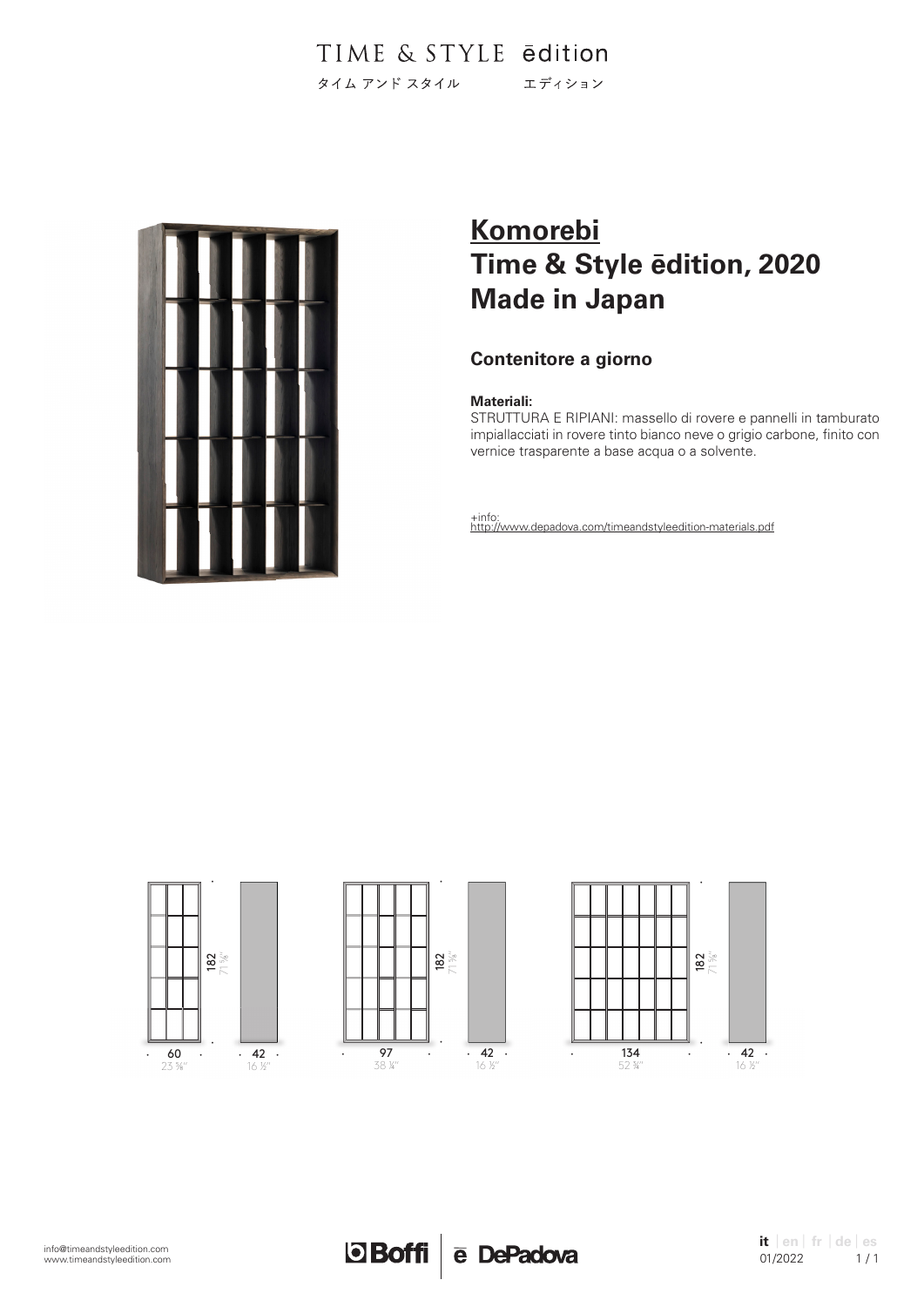

# **Komorebi Time & Style ēdition, 2020 Made in Japan**

# **Contenitore a giorno**

### **Materiali:**

STRUTTURA E RIPIANI: massello di rovere e pannelli in tamburato impiallacciati in rovere tinto bianco neve o grigio carbone, finito con vernice trasparente a base acqua o a solvente.





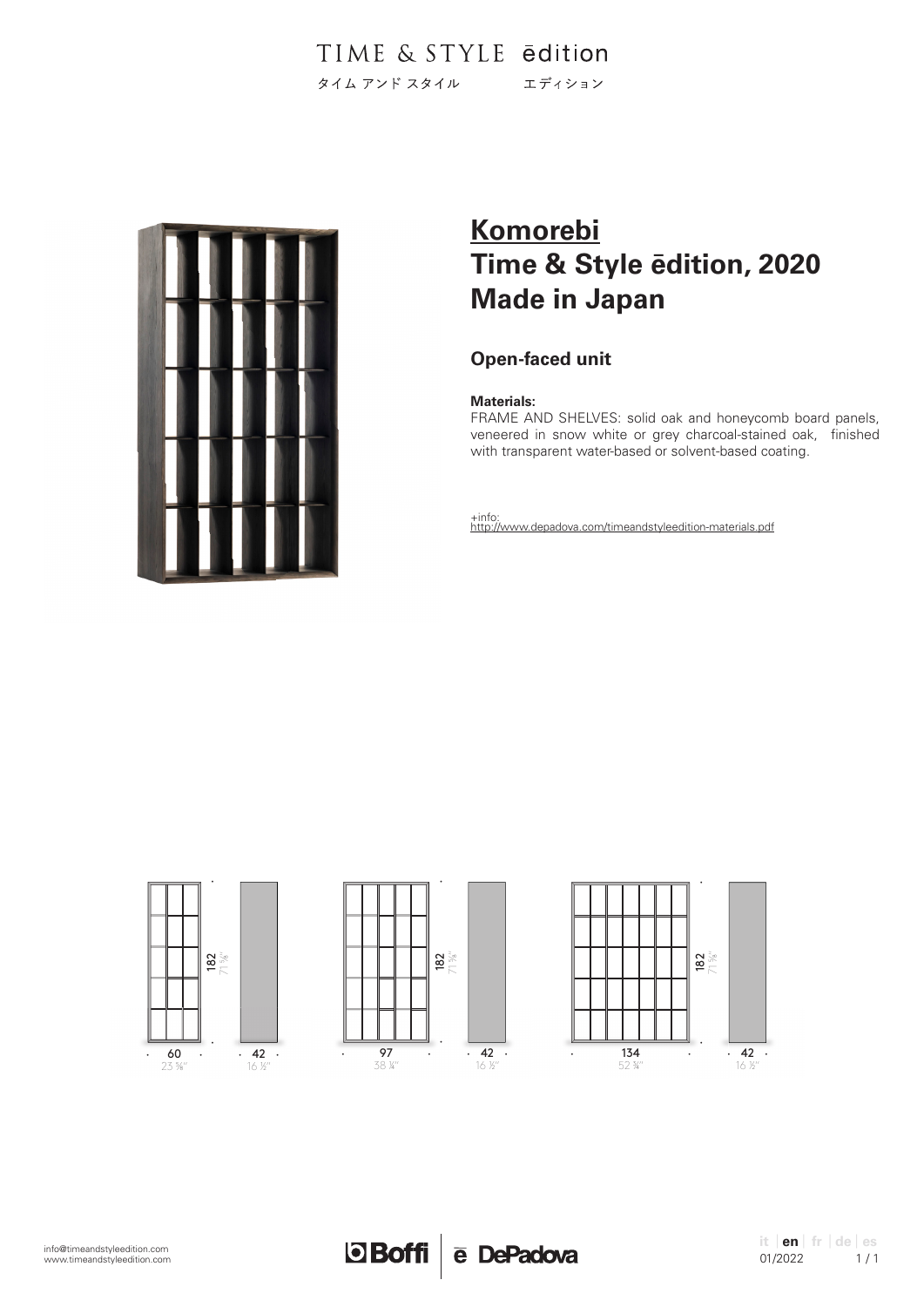

# **Komorebi Time & Style ēdition, 2020 Made in Japan**

# **Open-faced unit**

### **Materials:**

FRAME AND SHELVES: solid oak and honeycomb board panels, veneered in snow white or grey charcoal-stained oak, finished with transparent water-based or solvent-based coating.





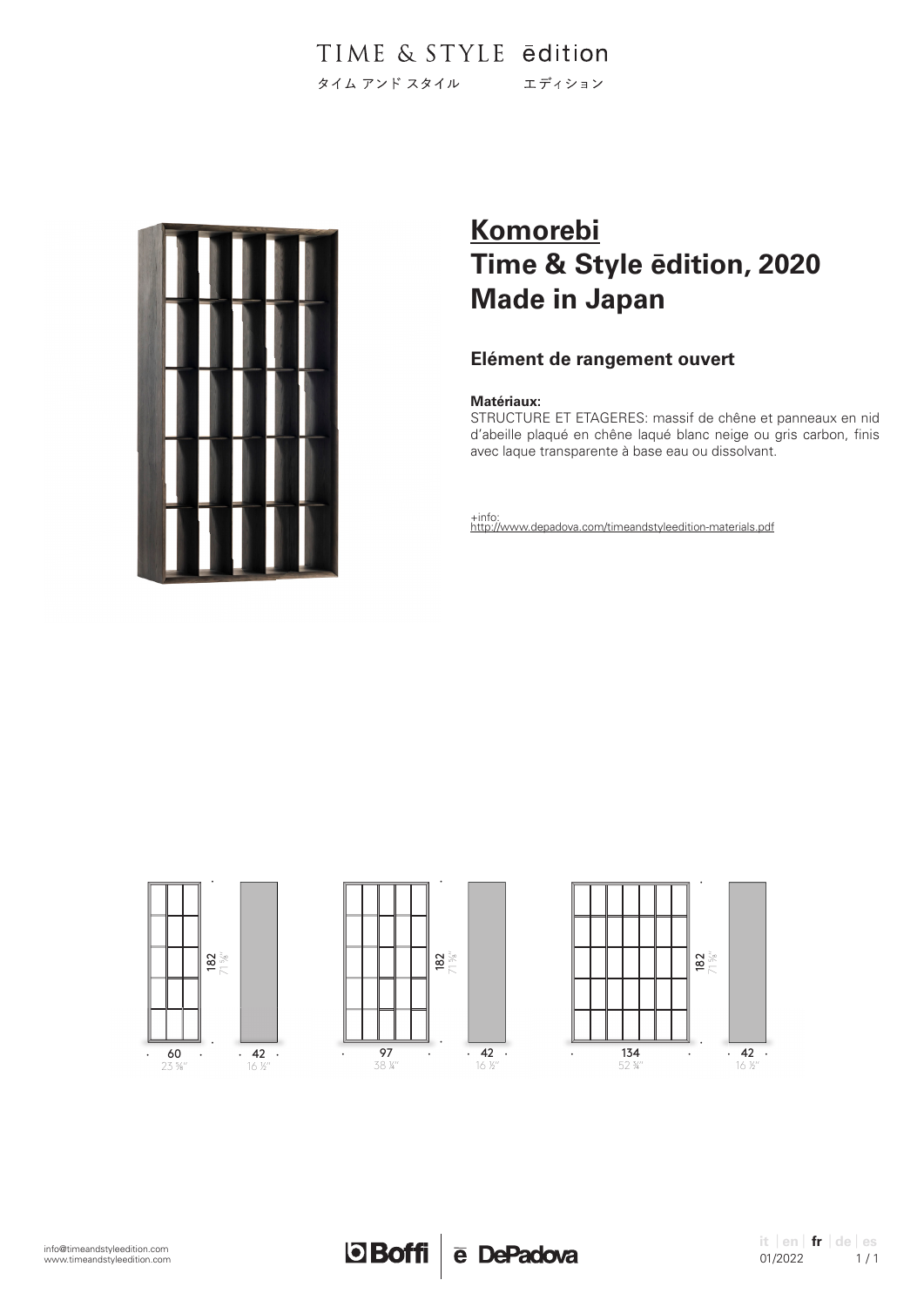

# **Komorebi Time & Style ēdition, 2020 Made in Japan**

## **Elément de rangement ouvert**

### **Matériaux:**

STRUCTURE ET ETAGERES: massif de chêne et panneaux en nid d'abeille plaqué en chêne laqué blanc neige ou gris carbon, finis avec laque transparente à base eau ou dissolvant.





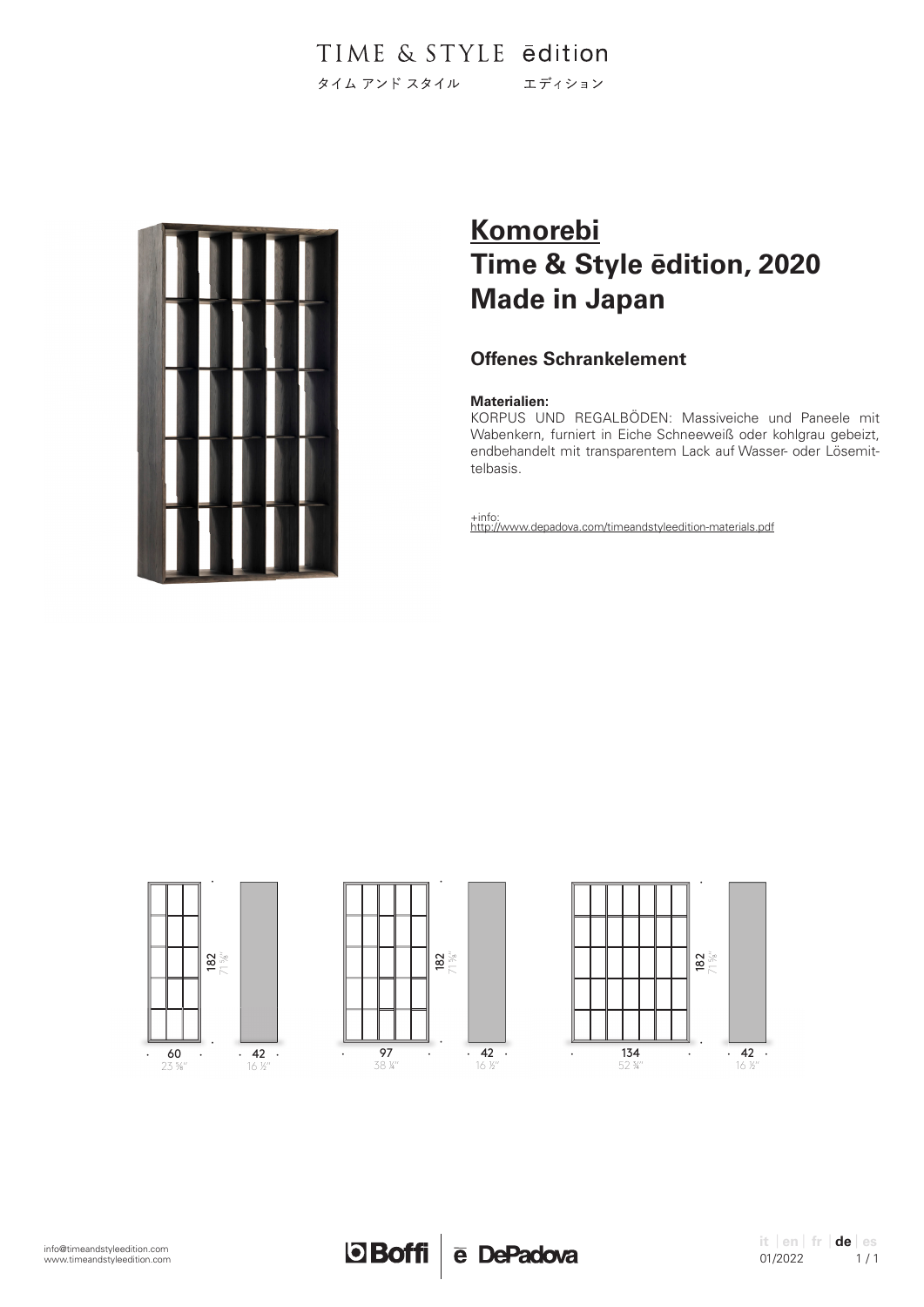

# **Komorebi Time & Style ēdition, 2020 Made in Japan**

# **Offenes Schrankelement**

### **Materialien:**

KORPUS UND REGALBÖDEN: Massiveiche und Paneele mit Wabenkern, furniert in Eiche Schneeweiß oder kohlgrau gebeizt, endbehandelt mit transparentem Lack auf Wasser- oder Lösemittelbasis.